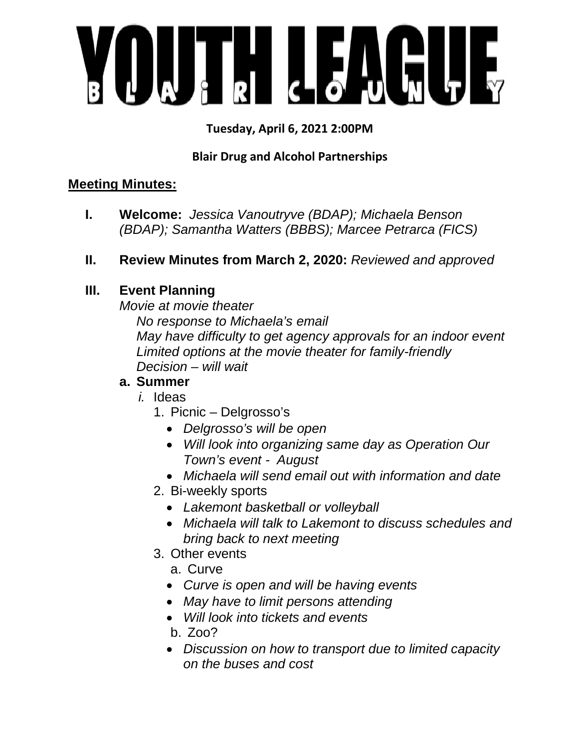

# **Tuesday, April 6, 2021 2:00PM**

# **Blair Drug and Alcohol Partnerships**

## **Meeting Minutes:**

- **I. Welcome:** *Jessica Vanoutryve (BDAP); Michaela Benson (BDAP); Samantha Watters (BBBS); Marcee Petrarca (FICS)*
- **II. Review Minutes from March 2, 2020:** *Reviewed and approved*

# **III. Event Planning**

*Movie at movie theater* 

 *No response to Michaela's email May have difficulty to get agency approvals for an indoor event Limited options at the movie theater for family-friendly Decision – will wait* 

## **a. Summer**

- *i.* Ideas
	- 1. Picnic Delgrosso's
		- *Delgrosso's will be open*
		- *Will look into organizing same day as Operation Our Town's event - August*
		- *Michaela will send email out with information and date*
	- 2. Bi-weekly sports
		- *Lakemont basketball or volleyball*
		- *Michaela will talk to Lakemont to discuss schedules and bring back to next meeting*
	- 3. Other events
		- a. Curve
		- *Curve is open and will be having events*
		- *May have to limit persons attending*
		- *Will look into tickets and events*
		- b. Zoo?
		- *Discussion on how to transport due to limited capacity on the buses and cost*